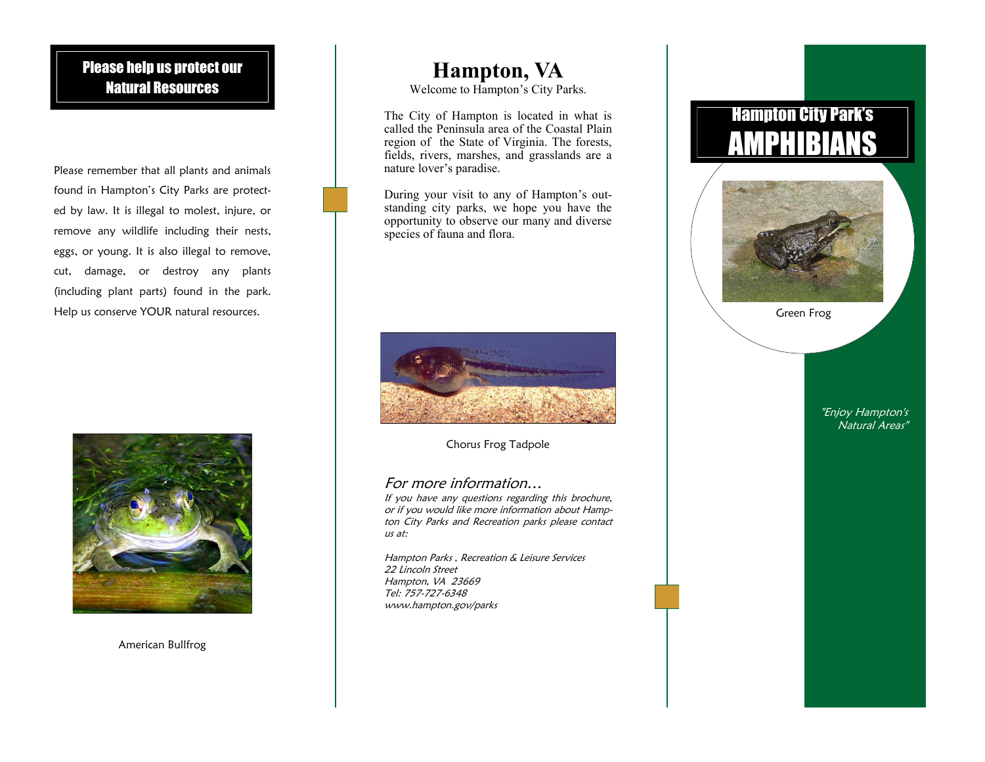## Please help us protect our Natural Resources

Please remember that all plants and animals found in Hampton's City Parks are protected by law. It is illegal to molest, injure, or remove any wildlife including their nests, eggs, or young. It is also illegal to remove, cut, damage, or destroy any plants (including plant parts) found in the park. Help us conserve YOUR natural resources.



American Bullfrog

## **Hampton, VA**

Welcome to Hampton's City Parks.

The City of Hampton is located in what is called the Peninsula area of the Coastal Plain region of the State of Virginia. The forests, fields, rivers, marshes, and grasslands are a nature lover's paradise.

During your visit to any of Hampton's outstanding city parks, we hope you have the opportunity to observe our many and diverse species of fauna and flora.



Chorus Frog Tadpole

#### For more information…

If you have any questions regarding this brochure, or if you would like more information about Hampton City Parks and Recreation parks please contact us at:

Hampton Parks , Recreation & Leisure Services 22 Lincoln Street Hampton, VA 23669 Tel: 757-727-6348 www.hampton.gov/parks

# Hampton City Park's AMPHIBIANS



Green Frog

"Enjoy Hampton's Natural Areas"